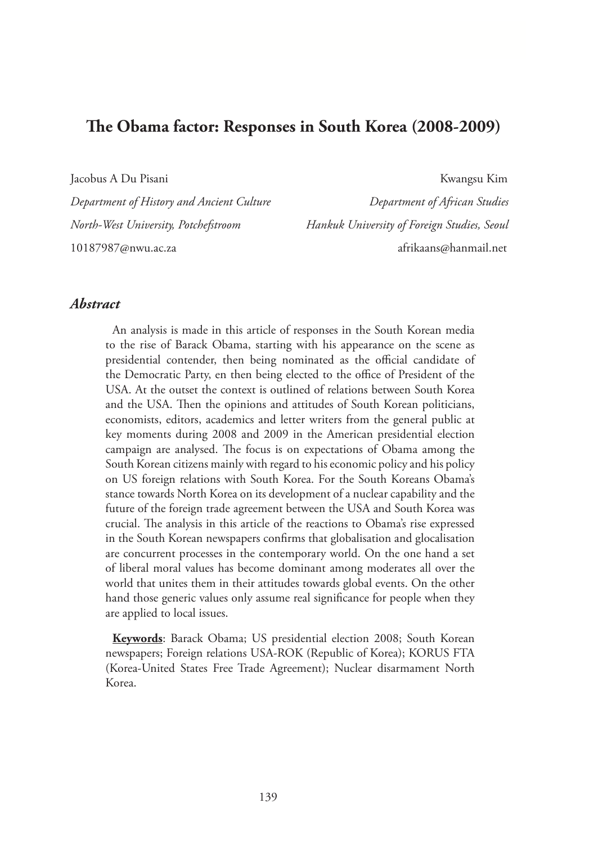# **The Obama factor: Responses in South Korea (2008-2009)**

Jacobus A Du Pisani Kwangsu Kim

*Department of History and Ancient Culture Department of African Studies North-West University, Potchefstroom Hankuk University of Foreign Studies, Seoul* 10187987@nwu.ac.za afrikaans@hanmail.net

### *Abstract*

An analysis is made in this article of responses in the South Korean media to the rise of Barack Obama, starting with his appearance on the scene as presidential contender, then being nominated as the official candidate of the Democratic Party, en then being elected to the office of President of the USA. At the outset the context is outlined of relations between South Korea and the USA. Then the opinions and attitudes of South Korean politicians, economists, editors, academics and letter writers from the general public at key moments during 2008 and 2009 in the American presidential election campaign are analysed. The focus is on expectations of Obama among the South Korean citizens mainly with regard to his economic policy and his policy on US foreign relations with South Korea. For the South Koreans Obama's stance towards North Korea on its development of a nuclear capability and the future of the foreign trade agreement between the USA and South Korea was crucial. The analysis in this article of the reactions to Obama's rise expressed in the South Korean newspapers confirms that globalisation and glocalisation are concurrent processes in the contemporary world. On the one hand a set of liberal moral values has become dominant among moderates all over the world that unites them in their attitudes towards global events. On the other hand those generic values only assume real significance for people when they are applied to local issues.

**Keywords**: Barack Obama; US presidential election 2008; South Korean newspapers; Foreign relations USA-ROK (Republic of Korea); KORUS FTA (Korea-United States Free Trade Agreement); Nuclear disarmament North Korea.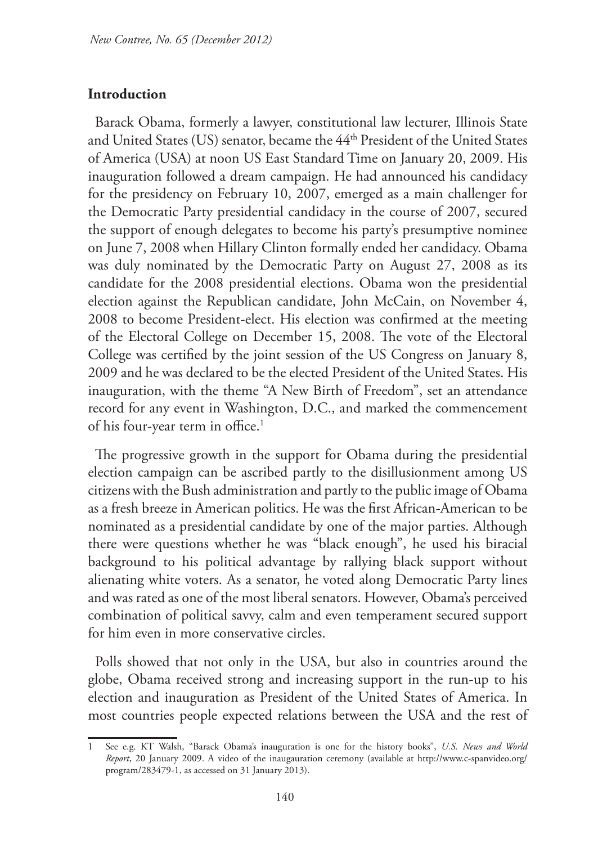#### **Introduction**

Barack Obama, formerly a lawyer, constitutional law lecturer, Illinois State and United States (US) senator, became the 44<sup>th</sup> President of the United States of America (USA) at noon US East Standard Time on January 20, 2009. His inauguration followed a dream campaign. He had announced his candidacy for the presidency on February 10, 2007, emerged as a main challenger for the Democratic Party presidential candidacy in the course of 2007, secured the support of enough delegates to become his party's presumptive nominee on June 7, 2008 when Hillary Clinton formally ended her candidacy. Obama was duly nominated by the Democratic Party on August 27, 2008 as its candidate for the 2008 presidential elections. Obama won the presidential election against the Republican candidate, John McCain, on November 4, 2008 to become President-elect. His election was confirmed at the meeting of the Electoral College on December 15, 2008. The vote of the Electoral College was certified by the joint session of the US Congress on January 8, 2009 and he was declared to be the elected President of the United States. His inauguration, with the theme "A New Birth of Freedom", set an attendance record for any event in Washington, D.C., and marked the commencement of his four-year term in office.<sup>1</sup>

The progressive growth in the support for Obama during the presidential election campaign can be ascribed partly to the disillusionment among US citizens with the Bush administration and partly to the public image of Obama as a fresh breeze in American politics. He was the first African-American to be nominated as a presidential candidate by one of the major parties. Although there were questions whether he was "black enough", he used his biracial background to his political advantage by rallying black support without alienating white voters. As a senator, he voted along Democratic Party lines and was rated as one of the most liberal senators. However, Obama's perceived combination of political savvy, calm and even temperament secured support for him even in more conservative circles.

Polls showed that not only in the USA, but also in countries around the globe, Obama received strong and increasing support in the run-up to his election and inauguration as President of the United States of America. In most countries people expected relations between the USA and the rest of

<sup>1</sup> See e.g. KT Walsh, "Barack Obama's inauguration is one for the history books", *U.S. News and World Report*, 20 January 2009. A video of the inaugauration ceremony (available at http://www.c-spanvideo.org/ program/283479-1, as accessed on 31 January 2013).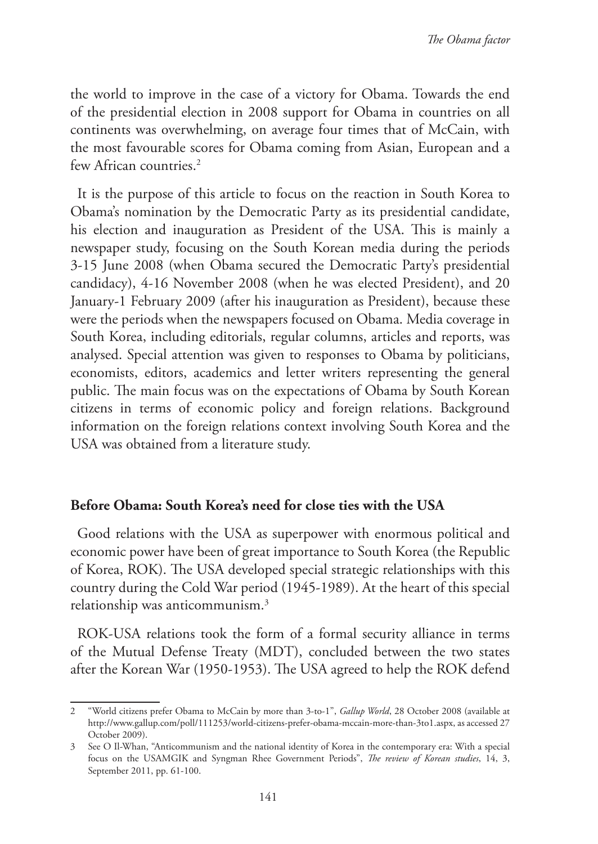the world to improve in the case of a victory for Obama. Towards the end of the presidential election in 2008 support for Obama in countries on all continents was overwhelming, on average four times that of McCain, with the most favourable scores for Obama coming from Asian, European and a few African countries.<sup>2</sup>

It is the purpose of this article to focus on the reaction in South Korea to Obama's nomination by the Democratic Party as its presidential candidate, his election and inauguration as President of the USA. This is mainly a newspaper study, focusing on the South Korean media during the periods 3-15 June 2008 (when Obama secured the Democratic Party's presidential candidacy), 4-16 November 2008 (when he was elected President), and 20 January-1 February 2009 (after his inauguration as President), because these were the periods when the newspapers focused on Obama. Media coverage in South Korea, including editorials, regular columns, articles and reports, was analysed. Special attention was given to responses to Obama by politicians, economists, editors, academics and letter writers representing the general public. The main focus was on the expectations of Obama by South Korean citizens in terms of economic policy and foreign relations. Background information on the foreign relations context involving South Korea and the USA was obtained from a literature study.

#### **Before Obama: South Korea's need for close ties with the USA**

Good relations with the USA as superpower with enormous political and economic power have been of great importance to South Korea (the Republic of Korea, ROK). The USA developed special strategic relationships with this country during the Cold War period (1945-1989). At the heart of this special relationship was anticommunism.3

ROK-USA relations took the form of a formal security alliance in terms of the Mutual Defense Treaty (MDT), concluded between the two states after the Korean War (1950-1953). The USA agreed to help the ROK defend

<sup>2</sup> "World citizens prefer Obama to McCain by more than 3-to-1", *Gallup World*, 28 October 2008 (available at http://www.gallup.com/poll/111253/world-citizens-prefer-obama-mccain-more-than-3to1.aspx, as accessed 27 October 2009).

<sup>3</sup> See O Il-Whan, "Anticommunism and the national identity of Korea in the contemporary era: With a special focus on the USAMGIK and Syngman Rhee Government Periods", *The review of Korean studies*, 14, 3, September 2011, pp. 61-100.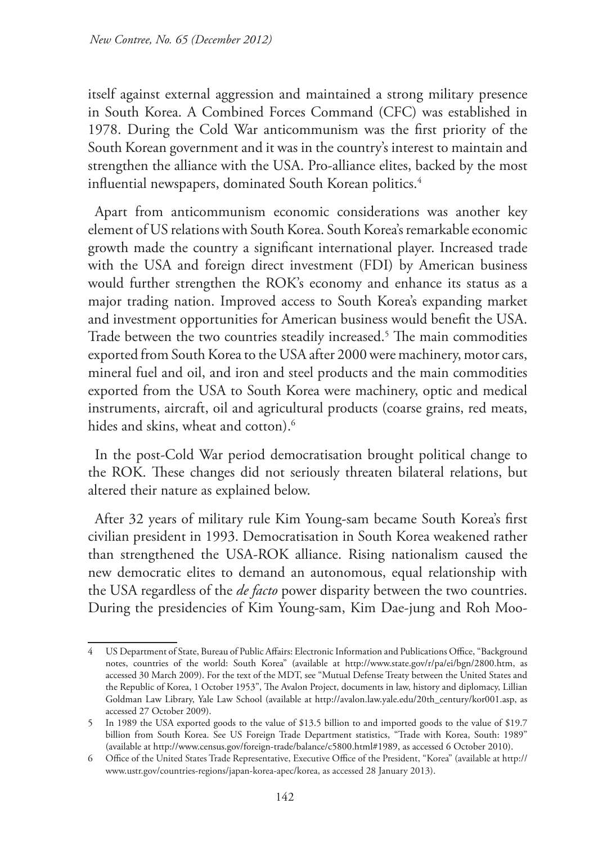itself against external aggression and maintained a strong military presence in South Korea. A Combined Forces Command (CFC) was established in 1978. During the Cold War anticommunism was the first priority of the South Korean government and it was in the country's interest to maintain and strengthen the alliance with the USA. Pro-alliance elites, backed by the most influential newspapers, dominated South Korean politics.<sup>4</sup>

Apart from anticommunism economic considerations was another key element of US relations with South Korea. South Korea's remarkable economic growth made the country a significant international player. Increased trade with the USA and foreign direct investment (FDI) by American business would further strengthen the ROK's economy and enhance its status as a major trading nation. Improved access to South Korea's expanding market and investment opportunities for American business would benefit the USA. Trade between the two countries steadily increased.5 The main commodities exported from South Korea to the USA after 2000 were machinery, motor cars, mineral fuel and oil, and iron and steel products and the main commodities exported from the USA to South Korea were machinery, optic and medical instruments, aircraft, oil and agricultural products (coarse grains, red meats, hides and skins, wheat and cotton).<sup>6</sup>

In the post-Cold War period democratisation brought political change to the ROK. These changes did not seriously threaten bilateral relations, but altered their nature as explained below.

After 32 years of military rule Kim Young-sam became South Korea's first civilian president in 1993. Democratisation in South Korea weakened rather than strengthened the USA-ROK alliance. Rising nationalism caused the new democratic elites to demand an autonomous, equal relationship with the USA regardless of the *de facto* power disparity between the two countries. During the presidencies of Kim Young-sam, Kim Dae-jung and Roh Moo-

<sup>4</sup> US Department of State, Bureau of Public Affairs: Electronic Information and Publications Office, "Background notes, countries of the world: South Korea" (available at http://www.state.gov/r/pa/ei/bgn/2800.htm, as accessed 30 March 2009). For the text of the MDT, see "Mutual Defense Treaty between the United States and the Republic of Korea, 1 October 1953", The Avalon Project, documents in law, history and diplomacy, Lillian Goldman Law Library, Yale Law School (available at http://avalon.law.yale.edu/20th\_century/kor001.asp, as accessed 27 October 2009).

<sup>5</sup> In 1989 the USA exported goods to the value of \$13.5 billion to and imported goods to the value of \$19.7 billion from South Korea. See US Foreign Trade Department statistics, "Trade with Korea, South: 1989" (available at http://www.census.gov/foreign-trade/balance/c5800.html#1989, as accessed 6 October 2010).

<sup>6</sup> Office of the United States Trade Representative, Executive Office of the President, "Korea" (available at http:// www.ustr.gov/countries-regions/japan-korea-apec/korea, as accessed 28 January 2013).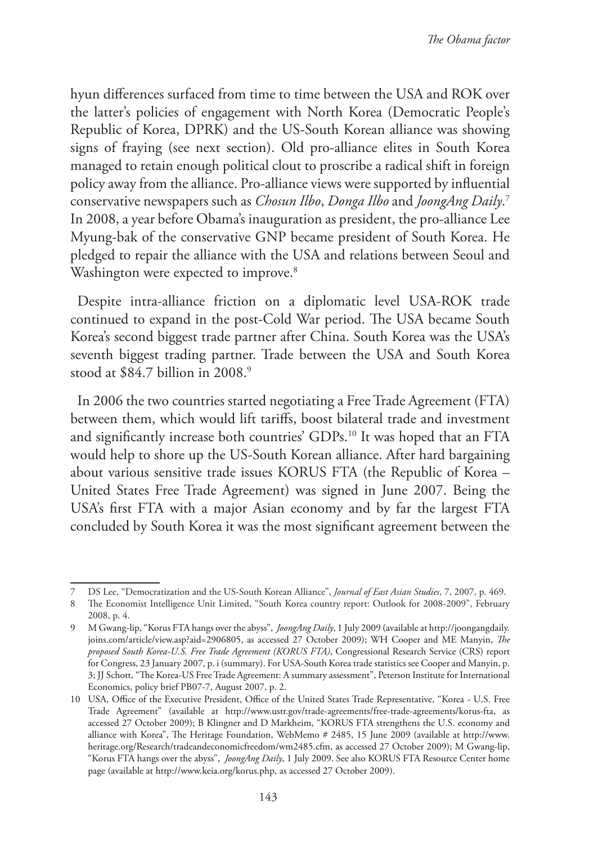hyun differences surfaced from time to time between the USA and ROK over the latter's policies of engagement with North Korea (Democratic People's Republic of Korea, DPRK) and the US-South Korean alliance was showing signs of fraying (see next section). Old pro-alliance elites in South Korea managed to retain enough political clout to proscribe a radical shift in foreign policy away from the alliance. Pro-alliance views were supported by influential conservative newspapers such as *Chosun Ilbo*, *Donga Ilbo* and *JoongAng Daily*. 7 In 2008, a year before Obama's inauguration as president, the pro-alliance Lee Myung-bak of the conservative GNP became president of South Korea. He pledged to repair the alliance with the USA and relations between Seoul and Washington were expected to improve.<sup>8</sup>

Despite intra-alliance friction on a diplomatic level USA-ROK trade continued to expand in the post-Cold War period. The USA became South Korea's second biggest trade partner after China. South Korea was the USA's seventh biggest trading partner. Trade between the USA and South Korea stood at \$84.7 billion in 2008.<sup>9</sup>

In 2006 the two countries started negotiating a Free Trade Agreement (FTA) between them, which would lift tariffs, boost bilateral trade and investment and significantly increase both countries' GDPs.10 It was hoped that an FTA would help to shore up the US-South Korean alliance. After hard bargaining about various sensitive trade issues KORUS FTA (the Republic of Korea – United States Free Trade Agreement) was signed in June 2007. Being the USA's first FTA with a major Asian economy and by far the largest FTA concluded by South Korea it was the most significant agreement between the

<sup>7</sup> DS Lee, "Democratization and the US-South Korean Alliance", *Journal of East Asian Studies*, 7, 2007, p. 469.

<sup>8</sup> The Economist Intelligence Unit Limited, "South Korea country report: Outlook for 2008-2009", February 2008, p. 4.

<sup>9</sup> M Gwang-lip, "Korus FTA hangs over the abyss", *JoongAng Daily*, 1 July 2009 (available at http://joongangdaily. joins.com/article/view.asp?aid=2906805, as accessed 27 October 2009); WH Cooper and ME Manyin, *The proposed South Korea-U.S. Free Trade Agreement (KORUS FTA)*, Congressional Research Service (CRS) report for Congress, 23 January 2007, p. i (summary). For USA-South Korea trade statistics see Cooper and Manyin, p. 3; JJ Schott, "The Korea-US Free Trade Agreement: A summary assessment", Peterson Institute for International Economics, policy brief PB07-7, August 2007, p. 2.

<sup>10</sup> USA, Office of the Executive President, Office of the United States Trade Representative, "Korea - U.S. Free Trade Agreement" (available at http://www.ustr.gov/trade-agreements/free-trade-agreements/korus-fta, as accessed 27 October 2009); B Klingner and D Markheim, "KORUS FTA strengthens the U.S. economy and alliance with Korea", The Heritage Foundation, WebMemo # 2485, 15 June 2009 (available at http://www. heritage.org/Research/tradeandeconomicfreedom/wm2485.cfm, as accessed 27 October 2009); M Gwang-lip, "Korus FTA hangs over the abyss", *JoongAng Daily*, 1 July 2009. See also KORUS FTA Resource Center home page (available at http://www.keia.org/korus.php, as accessed 27 October 2009).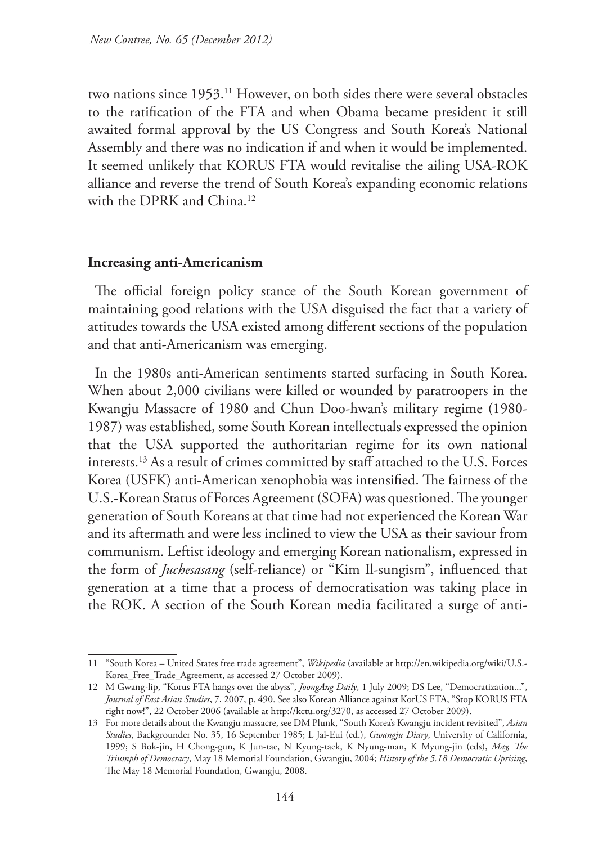two nations since 1953.11 However, on both sides there were several obstacles to the ratification of the FTA and when Obama became president it still awaited formal approval by the US Congress and South Korea's National Assembly and there was no indication if and when it would be implemented. It seemed unlikely that KORUS FTA would revitalise the ailing USA-ROK alliance and reverse the trend of South Korea's expanding economic relations with the DPRK and China.12

#### **Increasing anti-Americanism**

The official foreign policy stance of the South Korean government of maintaining good relations with the USA disguised the fact that a variety of attitudes towards the USA existed among different sections of the population and that anti-Americanism was emerging.

In the 1980s anti-American sentiments started surfacing in South Korea. When about 2,000 civilians were killed or wounded by paratroopers in the Kwangju Massacre of 1980 and Chun Doo-hwan's military regime (1980- 1987) was established, some South Korean intellectuals expressed the opinion that the USA supported the authoritarian regime for its own national interests.13 As a result of crimes committed by staff attached to the U.S. Forces Korea (USFK) anti-American xenophobia was intensified. The fairness of the U.S.-Korean Status of Forces Agreement (SOFA) was questioned. The younger generation of South Koreans at that time had not experienced the Korean War and its aftermath and were less inclined to view the USA as their saviour from communism. Leftist ideology and emerging Korean nationalism, expressed in the form of *Juchesasang* (self-reliance) or "Kim Il-sungism", influenced that generation at a time that a process of democratisation was taking place in the ROK. A section of the South Korean media facilitated a surge of anti-

<sup>11</sup> "South Korea – United States free trade agreement", *Wikipedia* (available at http://en.wikipedia.org/wiki/U.S.- Korea\_Free\_Trade\_Agreement, as accessed 27 October 2009).

<sup>12</sup> M Gwang-lip, "Korus FTA hangs over the abyss", *JoongAng Daily*, 1 July 2009; DS Lee, "Democratization...", *Journal of East Asian Studies*, 7, 2007, p. 490. See also Korean Alliance against KorUS FTA, "Stop KORUS FTA right now!", 22 October 2006 (available at http://kctu.org/3270, as accessed 27 October 2009).

<sup>13</sup> For more details about the Kwangju massacre, see DM Plunk, "South Korea's Kwangju incident revisited", *Asian Studies*, Backgrounder No. 35, 16 September 1985; L Jai-Eui (ed.), *Gwangju Diary*, University of California, 1999; S Bok-jin, H Chong-gun, K Jun-tae, N Kyung-taek, K Nyung-man, K Myung-jin (eds), *May, The Triumph of Democracy*, May 18 Memorial Foundation, Gwangju, 2004; *History of the 5.18 Democratic Uprising*, The May 18 Memorial Foundation, Gwangju, 2008.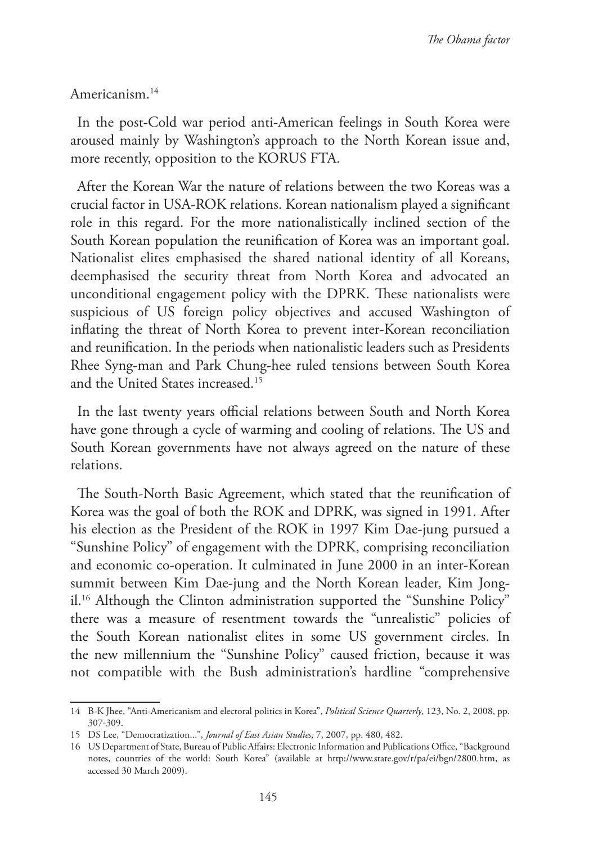#### Americanism.14

In the post-Cold war period anti-American feelings in South Korea were aroused mainly by Washington's approach to the North Korean issue and, more recently, opposition to the KORUS FTA.

After the Korean War the nature of relations between the two Koreas was a crucial factor in USA-ROK relations. Korean nationalism played a significant role in this regard. For the more nationalistically inclined section of the South Korean population the reunification of Korea was an important goal. Nationalist elites emphasised the shared national identity of all Koreans, deemphasised the security threat from North Korea and advocated an unconditional engagement policy with the DPRK. These nationalists were suspicious of US foreign policy objectives and accused Washington of inflating the threat of North Korea to prevent inter-Korean reconciliation and reunification. In the periods when nationalistic leaders such as Presidents Rhee Syng-man and Park Chung-hee ruled tensions between South Korea and the United States increased<sup>15</sup>

In the last twenty years official relations between South and North Korea have gone through a cycle of warming and cooling of relations. The US and South Korean governments have not always agreed on the nature of these relations.

The South-North Basic Agreement, which stated that the reunification of Korea was the goal of both the ROK and DPRK, was signed in 1991. After his election as the President of the ROK in 1997 Kim Dae-jung pursued a "Sunshine Policy" of engagement with the DPRK, comprising reconciliation and economic co-operation. It culminated in June 2000 in an inter-Korean summit between Kim Dae-jung and the North Korean leader, Kim Jongil.16 Although the Clinton administration supported the "Sunshine Policy" there was a measure of resentment towards the "unrealistic" policies of the South Korean nationalist elites in some US government circles. In the new millennium the "Sunshine Policy" caused friction, because it was not compatible with the Bush administration's hardline "comprehensive

<sup>14</sup> B-K Jhee, "Anti-Americanism and electoral politics in Korea", *Political Science Quarterly*, 123, No. 2, 2008, pp. 307-309.

<sup>15</sup> DS Lee, "Democratization...", *Journal of East Asian Studies*, 7, 2007, pp. 480, 482.

<sup>16</sup> US Department of State, Bureau of Public Affairs: Electronic Information and Publications Office, "Background notes, countries of the world: South Korea" (available at http://www.state.gov/r/pa/ei/bgn/2800.htm, as accessed 30 March 2009).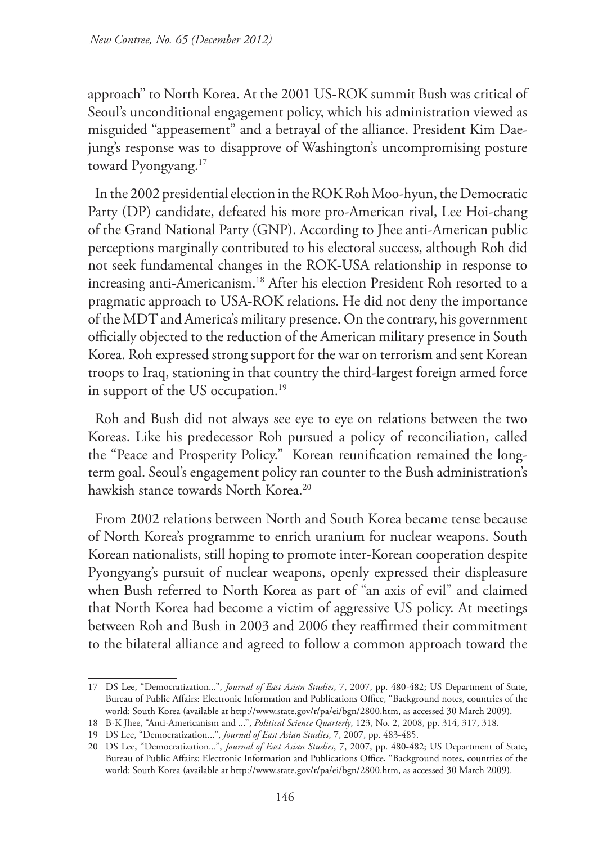approach" to North Korea. At the 2001 US-ROK summit Bush was critical of Seoul's unconditional engagement policy, which his administration viewed as misguided "appeasement" and a betrayal of the alliance. President Kim Daejung's response was to disapprove of Washington's uncompromising posture toward Pyongyang.<sup>17</sup>

In the 2002 presidential election in the ROK Roh Moo-hyun, the Democratic Party (DP) candidate, defeated his more pro-American rival, Lee Hoi-chang of the Grand National Party (GNP). According to Jhee anti-American public perceptions marginally contributed to his electoral success, although Roh did not seek fundamental changes in the ROK-USA relationship in response to increasing anti-Americanism.<sup>18</sup> After his election President Roh resorted to a pragmatic approach to USA-ROK relations. He did not deny the importance of the MDT and America's military presence. On the contrary, his government officially objected to the reduction of the American military presence in South Korea. Roh expressed strong support for the war on terrorism and sent Korean troops to Iraq, stationing in that country the third-largest foreign armed force in support of the US occupation.<sup>19</sup>

Roh and Bush did not always see eye to eye on relations between the two Koreas. Like his predecessor Roh pursued a policy of reconciliation, called the "Peace and Prosperity Policy." Korean reunification remained the longterm goal. Seoul's engagement policy ran counter to the Bush administration's hawkish stance towards North Korea.<sup>20</sup>

From 2002 relations between North and South Korea became tense because of North Korea's programme to enrich uranium for nuclear weapons. South Korean nationalists, still hoping to promote inter-Korean cooperation despite Pyongyang's pursuit of nuclear weapons, openly expressed their displeasure when Bush referred to North Korea as part of "an axis of evil" and claimed that North Korea had become a victim of aggressive US policy. At meetings between Roh and Bush in 2003 and 2006 they reaffirmed their commitment to the bilateral alliance and agreed to follow a common approach toward the

<sup>17</sup> DS Lee, "Democratization...", *Journal of East Asian Studies*, 7, 2007, pp. 480-482; US Department of State, Bureau of Public Affairs: Electronic Information and Publications Office, "Background notes, countries of the world: South Korea (available at http://www.state.gov/r/pa/ei/bgn/2800.htm, as accessed 30 March 2009).

<sup>18</sup> B-K Jhee, "Anti-Americanism and ...", *Political Science Quarterly*, 123, No. 2, 2008, pp. 314, 317, 318.

<sup>19</sup> DS Lee, "Democratization...", *Journal of East Asian Studies*, 7, 2007, pp. 483-485.

<sup>20</sup> DS Lee, "Democratization...", *Journal of East Asian Studies*, 7, 2007, pp. 480-482; US Department of State, Bureau of Public Affairs: Electronic Information and Publications Office, "Background notes, countries of the world: South Korea (available at http://www.state.gov/r/pa/ei/bgn/2800.htm, as accessed 30 March 2009).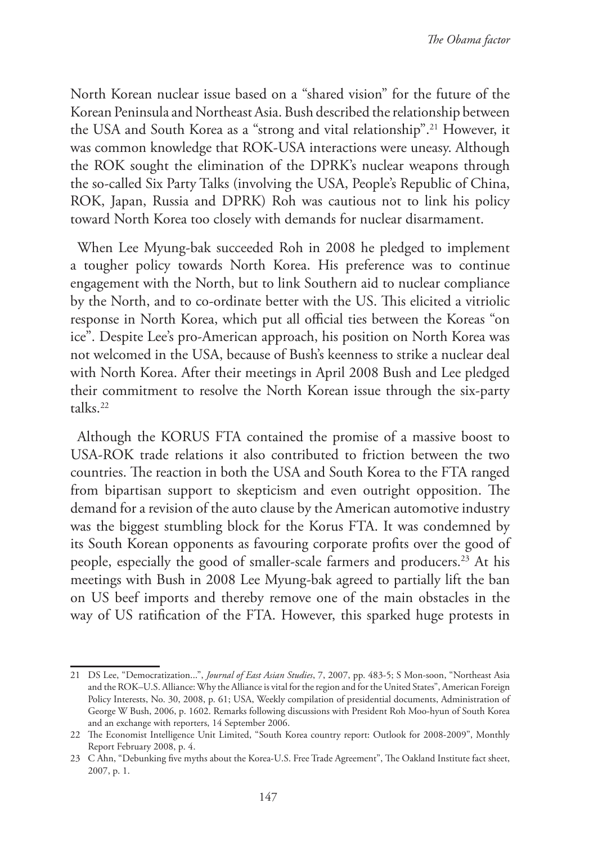North Korean nuclear issue based on a "shared vision" for the future of the Korean Peninsula and Northeast Asia. Bush described the relationship between the USA and South Korea as a "strong and vital relationship".<sup>21</sup> However, it was common knowledge that ROK-USA interactions were uneasy. Although the ROK sought the elimination of the DPRK's nuclear weapons through the so-called Six Party Talks (involving the USA, People's Republic of China, ROK, Japan, Russia and DPRK) Roh was cautious not to link his policy toward North Korea too closely with demands for nuclear disarmament.

When Lee Myung-bak succeeded Roh in 2008 he pledged to implement a tougher policy towards North Korea. His preference was to continue engagement with the North, but to link Southern aid to nuclear compliance by the North, and to co-ordinate better with the US. This elicited a vitriolic response in North Korea, which put all official ties between the Koreas "on ice". Despite Lee's pro-American approach, his position on North Korea was not welcomed in the USA, because of Bush's keenness to strike a nuclear deal with North Korea. After their meetings in April 2008 Bush and Lee pledged their commitment to resolve the North Korean issue through the six-party talks.22

Although the KORUS FTA contained the promise of a massive boost to USA-ROK trade relations it also contributed to friction between the two countries. The reaction in both the USA and South Korea to the FTA ranged from bipartisan support to skepticism and even outright opposition. The demand for a revision of the auto clause by the American automotive industry was the biggest stumbling block for the Korus FTA. It was condemned by its South Korean opponents as favouring corporate profits over the good of people, especially the good of smaller-scale farmers and producers.<sup>23</sup> At his meetings with Bush in 2008 Lee Myung-bak agreed to partially lift the ban on US beef imports and thereby remove one of the main obstacles in the way of US ratification of the FTA. However, this sparked huge protests in

<sup>21</sup> DS Lee, "Democratization...", *Journal of East Asian Studies*, 7, 2007, pp. 483-5; S Mon-soon, "Northeast Asia and the ROK–U.S. Alliance: Why the Alliance is vital for the region and for the United States", American Foreign Policy Interests, No. 30, 2008, p. 61; USA, Weekly compilation of presidential documents, Administration of George W Bush, 2006, p. 1602. Remarks following discussions with President Roh Moo-hyun of South Korea and an exchange with reporters, 14 September 2006.

<sup>22</sup> The Economist Intelligence Unit Limited, "South Korea country report: Outlook for 2008-2009", Monthly Report February 2008, p. 4.

<sup>23</sup> C Ahn, "Debunking five myths about the Korea-U.S. Free Trade Agreement", The Oakland Institute fact sheet, 2007, p. 1.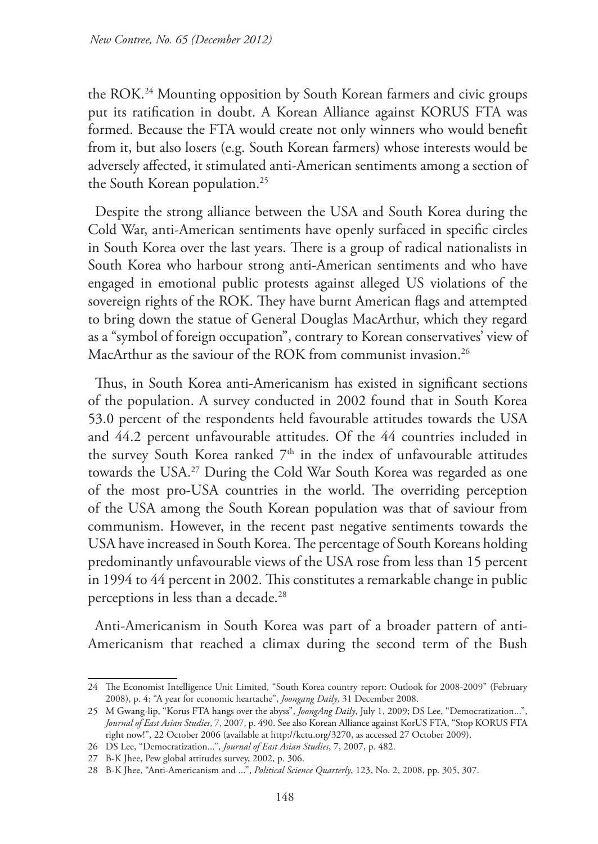the ROK.24 Mounting opposition by South Korean farmers and civic groups put its ratification in doubt. A Korean Alliance against KORUS FTA was formed. Because the FTA would create not only winners who would benefit from it, but also losers (e.g. South Korean farmers) whose interests would be adversely affected, it stimulated anti-American sentiments among a section of the South Korean population.25

Despite the strong alliance between the USA and South Korea during the Cold War, anti-American sentiments have openly surfaced in specific circles in South Korea over the last years. There is a group of radical nationalists in South Korea who harbour strong anti-American sentiments and who have engaged in emotional public protests against alleged US violations of the sovereign rights of the ROK. They have burnt American flags and attempted to bring down the statue of General Douglas MacArthur, which they regard as a "symbol of foreign occupation", contrary to Korean conservatives' view of MacArthur as the saviour of the ROK from communist invasion.<sup>26</sup>

Thus, in South Korea anti-Americanism has existed in significant sections of the population. A survey conducted in 2002 found that in South Korea 53.0 percent of the respondents held favourable attitudes towards the USA and 44.2 percent unfavourable attitudes. Of the 44 countries included in the survey South Korea ranked  $7<sup>th</sup>$  in the index of unfavourable attitudes towards the USA.27 During the Cold War South Korea was regarded as one of the most pro-USA countries in the world. The overriding perception of the USA among the South Korean population was that of saviour from communism. However, in the recent past negative sentiments towards the USA have increased in South Korea. The percentage of South Koreans holding predominantly unfavourable views of the USA rose from less than 15 percent in 1994 to 44 percent in 2002. This constitutes a remarkable change in public perceptions in less than a decade.28

Anti-Americanism in South Korea was part of a broader pattern of anti-Americanism that reached a climax during the second term of the Bush

<sup>24</sup> The Economist Intelligence Unit Limited, "South Korea country report: Outlook for 2008-2009" (February 2008), p. 4; "A year for economic heartache", *Joongang Daily*, 31 December 2008.

<sup>25</sup> M Gwang-lip, "Korus FTA hangs over the abyss", *JoongAng Daily*, July 1, 2009; DS Lee, "Democratization...", *Journal of East Asian Studies*, 7, 2007, p. 490. See also Korean Alliance against KorUS FTA, "Stop KORUS FTA right now!", 22 October 2006 (available at http://kctu.org/3270, as accessed 27 October 2009).

<sup>26</sup> DS Lee, "Democratization...", *Journal of East Asian Studies*, 7, 2007, p. 482.

<sup>27</sup> B-K Jhee, Pew global attitudes survey, 2002, p. 306.

<sup>28</sup> B-K Jhee, "Anti-Americanism and ...", *Political Science Quarterly*, 123, No. 2, 2008, pp. 305, 307.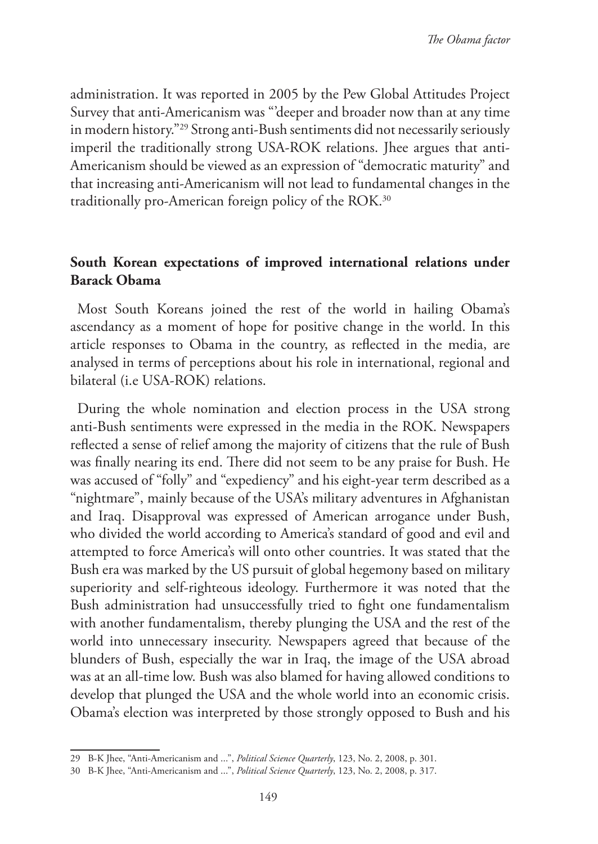administration. It was reported in 2005 by the Pew Global Attitudes Project Survey that anti-Americanism was "'deeper and broader now than at any time in modern history."29 Strong anti-Bush sentiments did not necessarily seriously imperil the traditionally strong USA-ROK relations. Jhee argues that anti-Americanism should be viewed as an expression of "democratic maturity" and that increasing anti-Americanism will not lead to fundamental changes in the traditionally pro-American foreign policy of the ROK.<sup>30</sup>

# **South Korean expectations of improved international relations under Barack Obama**

Most South Koreans joined the rest of the world in hailing Obama's ascendancy as a moment of hope for positive change in the world. In this article responses to Obama in the country, as reflected in the media, are analysed in terms of perceptions about his role in international, regional and bilateral (i.e USA-ROK) relations.

During the whole nomination and election process in the USA strong anti-Bush sentiments were expressed in the media in the ROK. Newspapers reflected a sense of relief among the majority of citizens that the rule of Bush was finally nearing its end. There did not seem to be any praise for Bush. He was accused of "folly" and "expediency" and his eight-year term described as a "nightmare", mainly because of the USA's military adventures in Afghanistan and Iraq. Disapproval was expressed of American arrogance under Bush, who divided the world according to America's standard of good and evil and attempted to force America's will onto other countries. It was stated that the Bush era was marked by the US pursuit of global hegemony based on military superiority and self-righteous ideology. Furthermore it was noted that the Bush administration had unsuccessfully tried to fight one fundamentalism with another fundamentalism, thereby plunging the USA and the rest of the world into unnecessary insecurity. Newspapers agreed that because of the blunders of Bush, especially the war in Iraq, the image of the USA abroad was at an all-time low. Bush was also blamed for having allowed conditions to develop that plunged the USA and the whole world into an economic crisis. Obama's election was interpreted by those strongly opposed to Bush and his

<sup>29</sup> B-K Jhee, "Anti-Americanism and ...", *Political Science Quarterly*, 123, No. 2, 2008, p. 301.

<sup>30</sup> B-K Jhee, "Anti-Americanism and ...", *Political Science Quarterly*, 123, No. 2, 2008, p. 317.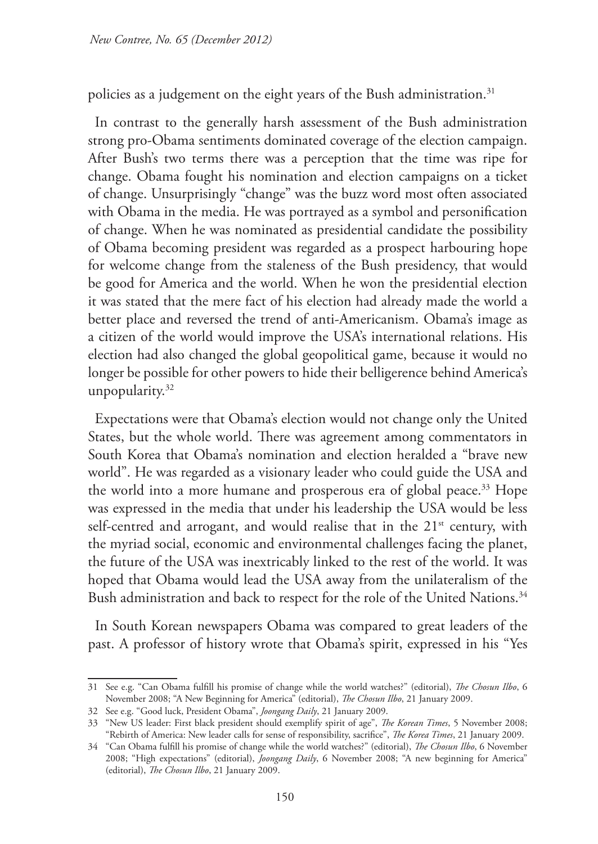policies as a judgement on the eight years of the Bush administration.<sup>31</sup>

In contrast to the generally harsh assessment of the Bush administration strong pro-Obama sentiments dominated coverage of the election campaign. After Bush's two terms there was a perception that the time was ripe for change. Obama fought his nomination and election campaigns on a ticket of change. Unsurprisingly "change" was the buzz word most often associated with Obama in the media. He was portrayed as a symbol and personification of change. When he was nominated as presidential candidate the possibility of Obama becoming president was regarded as a prospect harbouring hope for welcome change from the staleness of the Bush presidency, that would be good for America and the world. When he won the presidential election it was stated that the mere fact of his election had already made the world a better place and reversed the trend of anti-Americanism. Obama's image as a citizen of the world would improve the USA's international relations. His election had also changed the global geopolitical game, because it would no longer be possible for other powers to hide their belligerence behind America's unpopularity.<sup>32</sup>

Expectations were that Obama's election would not change only the United States, but the whole world. There was agreement among commentators in South Korea that Obama's nomination and election heralded a "brave new world". He was regarded as a visionary leader who could guide the USA and the world into a more humane and prosperous era of global peace.33 Hope was expressed in the media that under his leadership the USA would be less self-centred and arrogant, and would realise that in the 21<sup>st</sup> century, with the myriad social, economic and environmental challenges facing the planet, the future of the USA was inextricably linked to the rest of the world. It was hoped that Obama would lead the USA away from the unilateralism of the Bush administration and back to respect for the role of the United Nations.<sup>34</sup>

In South Korean newspapers Obama was compared to great leaders of the past. A professor of history wrote that Obama's spirit, expressed in his "Yes

<sup>31</sup> See e.g. "Can Obama fulfill his promise of change while the world watches?" (editorial), *The Chosun Ilbo*, 6 November 2008; "A New Beginning for America" (editorial), *The Chosun Ilbo*, 21 January 2009.

<sup>32</sup> See e.g. "Good luck, President Obama", *Joongang Daily*, 21 January 2009.

<sup>33</sup> "New US leader: First black president should exemplify spirit of age", *The Korean Times*, 5 November 2008; "Rebirth of America: New leader calls for sense of responsibility, sacrifice", *The Korea Times*, 21 January 2009.

<sup>34</sup> "Can Obama fulfill his promise of change while the world watches?" (editorial), *The Chosun Ilbo*, 6 November 2008; "High expectations" (editorial), *Joongang Daily*, 6 November 2008; "A new beginning for America" (editorial), *The Chosun Ilbo*, 21 January 2009.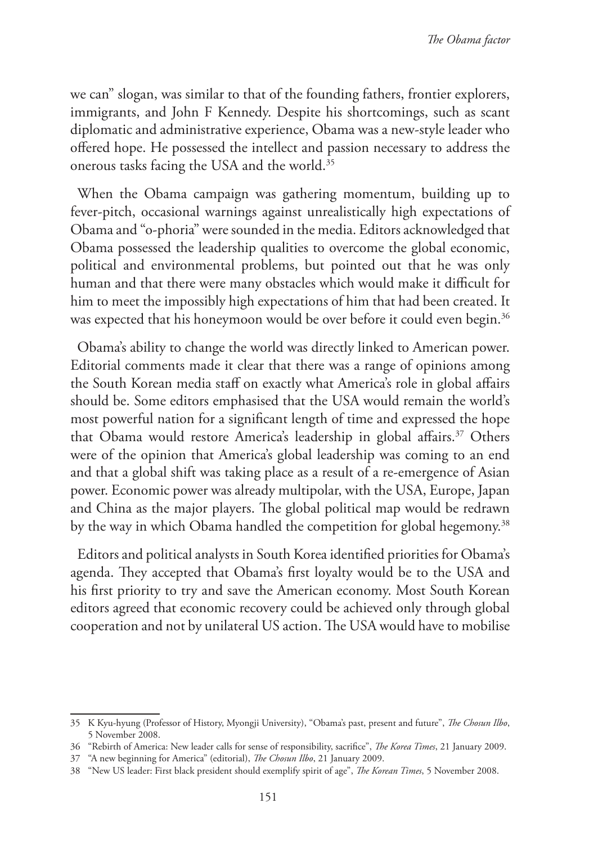we can" slogan, was similar to that of the founding fathers, frontier explorers, immigrants, and John F Kennedy. Despite his shortcomings, such as scant diplomatic and administrative experience, Obama was a new-style leader who offered hope. He possessed the intellect and passion necessary to address the onerous tasks facing the USA and the world.35

When the Obama campaign was gathering momentum, building up to fever-pitch, occasional warnings against unrealistically high expectations of Obama and "o-phoria" were sounded in the media. Editors acknowledged that Obama possessed the leadership qualities to overcome the global economic, political and environmental problems, but pointed out that he was only human and that there were many obstacles which would make it difficult for him to meet the impossibly high expectations of him that had been created. It was expected that his honeymoon would be over before it could even begin.<sup>36</sup>

Obama's ability to change the world was directly linked to American power. Editorial comments made it clear that there was a range of opinions among the South Korean media staff on exactly what America's role in global affairs should be. Some editors emphasised that the USA would remain the world's most powerful nation for a significant length of time and expressed the hope that Obama would restore America's leadership in global affairs.<sup>37</sup> Others were of the opinion that America's global leadership was coming to an end and that a global shift was taking place as a result of a re-emergence of Asian power. Economic power was already multipolar, with the USA, Europe, Japan and China as the major players. The global political map would be redrawn by the way in which Obama handled the competition for global hegemony.<sup>38</sup>

Editors and political analysts in South Korea identified priorities for Obama's agenda. They accepted that Obama's first loyalty would be to the USA and his first priority to try and save the American economy. Most South Korean editors agreed that economic recovery could be achieved only through global cooperation and not by unilateral US action. The USA would have to mobilise

<sup>35</sup> K Kyu-hyung (Professor of History, Myongji University), "Obama's past, present and future", *The Chosun Ilbo*, 5 November 2008.

<sup>36</sup> "Rebirth of America: New leader calls for sense of responsibility, sacrifice", *The Korea Times*, 21 January 2009.

<sup>37</sup> "A new beginning for America" (editorial), *The Chosun Ilbo*, 21 January 2009.

<sup>38</sup> "New US leader: First black president should exemplify spirit of age", *The Korean Times*, 5 November 2008.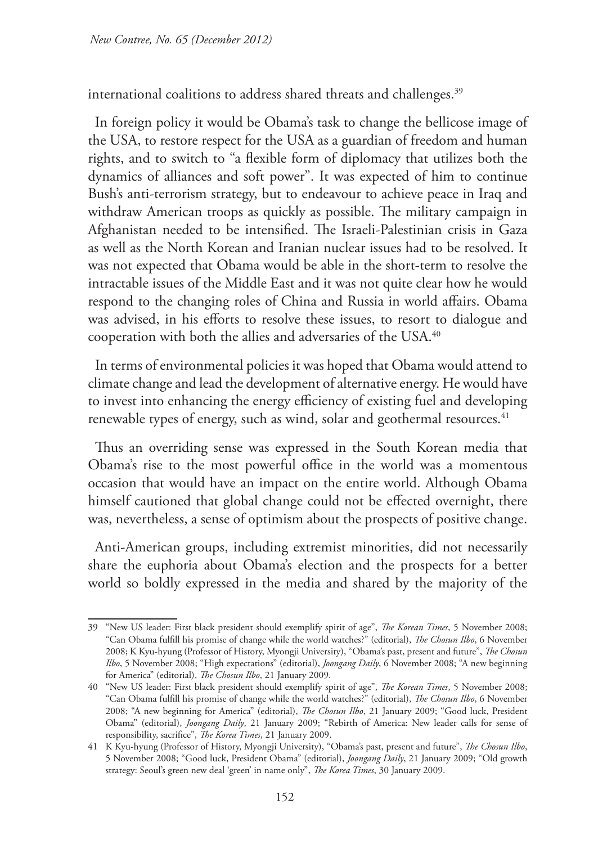international coalitions to address shared threats and challenges.<sup>39</sup>

In foreign policy it would be Obama's task to change the bellicose image of the USA, to restore respect for the USA as a guardian of freedom and human rights, and to switch to "a flexible form of diplomacy that utilizes both the dynamics of alliances and soft power". It was expected of him to continue Bush's anti-terrorism strategy, but to endeavour to achieve peace in Iraq and withdraw American troops as quickly as possible. The military campaign in Afghanistan needed to be intensified. The Israeli-Palestinian crisis in Gaza as well as the North Korean and Iranian nuclear issues had to be resolved. It was not expected that Obama would be able in the short-term to resolve the intractable issues of the Middle East and it was not quite clear how he would respond to the changing roles of China and Russia in world affairs. Obama was advised, in his efforts to resolve these issues, to resort to dialogue and cooperation with both the allies and adversaries of the USA.40

In terms of environmental policies it was hoped that Obama would attend to climate change and lead the development of alternative energy. He would have to invest into enhancing the energy efficiency of existing fuel and developing renewable types of energy, such as wind, solar and geothermal resources.<sup>41</sup>

Thus an overriding sense was expressed in the South Korean media that Obama's rise to the most powerful office in the world was a momentous occasion that would have an impact on the entire world. Although Obama himself cautioned that global change could not be effected overnight, there was, nevertheless, a sense of optimism about the prospects of positive change.

Anti-American groups, including extremist minorities, did not necessarily share the euphoria about Obama's election and the prospects for a better world so boldly expressed in the media and shared by the majority of the

<sup>39</sup> "New US leader: First black president should exemplify spirit of age", *The Korean Times*, 5 November 2008; "Can Obama fulfill his promise of change while the world watches?" (editorial), *The Chosun Ilbo*, 6 November 2008; K Kyu-hyung (Professor of History, Myongji University), "Obama's past, present and future", *The Chosun Ilbo*, 5 November 2008; "High expectations" (editorial), *Joongang Daily*, 6 November 2008; "A new beginning for America" (editorial), *The Chosun Ilbo*, 21 January 2009.

<sup>40</sup> "New US leader: First black president should exemplify spirit of age", *The Korean Times*, 5 November 2008; "Can Obama fulfill his promise of change while the world watches?" (editorial), *The Chosun Ilbo*, 6 November 2008; "A new beginning for America" (editorial), *The Chosun Ilbo*, 21 January 2009; "Good luck, President Obama" (editorial), *Joongang Daily*, 21 January 2009; "Rebirth of America: New leader calls for sense of responsibility, sacrifice", *The Korea Times*, 21 January 2009.

<sup>41</sup> K Kyu-hyung (Professor of History, Myongji University), "Obama's past, present and future", *The Chosun Ilbo*, 5 November 2008; "Good luck, President Obama" (editorial), *Joongang Daily*, 21 January 2009; "Old growth strategy: Seoul's green new deal 'green' in name only", *The Korea Times*, 30 January 2009.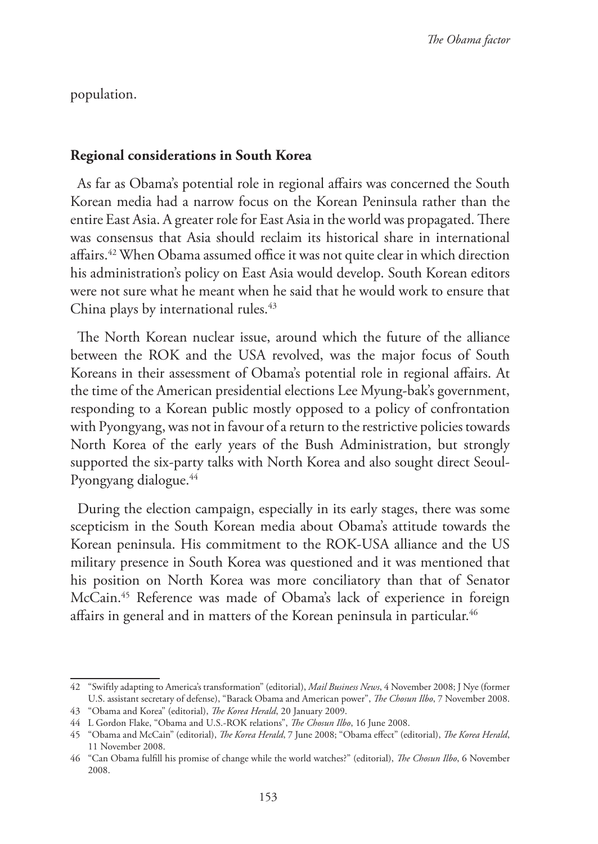population.

### **Regional considerations in South Korea**

As far as Obama's potential role in regional affairs was concerned the South Korean media had a narrow focus on the Korean Peninsula rather than the entire East Asia. A greater role for East Asia in the world was propagated. There was consensus that Asia should reclaim its historical share in international affairs.<sup>42</sup> When Obama assumed office it was not quite clear in which direction his administration's policy on East Asia would develop. South Korean editors were not sure what he meant when he said that he would work to ensure that China plays by international rules.<sup>43</sup>

The North Korean nuclear issue, around which the future of the alliance between the ROK and the USA revolved, was the major focus of South Koreans in their assessment of Obama's potential role in regional affairs. At the time of the American presidential elections Lee Myung-bak's government, responding to a Korean public mostly opposed to a policy of confrontation with Pyongyang, was not in favour of a return to the restrictive policies towards North Korea of the early years of the Bush Administration, but strongly supported the six-party talks with North Korea and also sought direct Seoul-Pyongyang dialogue.<sup>44</sup>

During the election campaign, especially in its early stages, there was some scepticism in the South Korean media about Obama's attitude towards the Korean peninsula. His commitment to the ROK-USA alliance and the US military presence in South Korea was questioned and it was mentioned that his position on North Korea was more conciliatory than that of Senator McCain.45 Reference was made of Obama's lack of experience in foreign affairs in general and in matters of the Korean peninsula in particular.<sup>46</sup>

<sup>42</sup> "Swiftly adapting to America's transformation" (editorial), *Mail Business News*, 4 November 2008; J Nye (former U.S. assistant secretary of defense), "Barack Obama and American power", *The Chosun Ilbo*, 7 November 2008.

<sup>43</sup> "Obama and Korea" (editorial), *The Korea Herald*, 20 January 2009.

<sup>44</sup> L Gordon Flake, "Obama and U.S.-ROK relations", *The Chosun Ilbo*, 16 June 2008.

<sup>45</sup> "Obama and McCain" (editorial), *The Korea Herald*, 7 June 2008; "Obama effect" (editorial), *The Korea Herald*, 11 November 2008.

<sup>46</sup> "Can Obama fulfill his promise of change while the world watches?" (editorial), *The Chosun Ilbo*, 6 November 2008.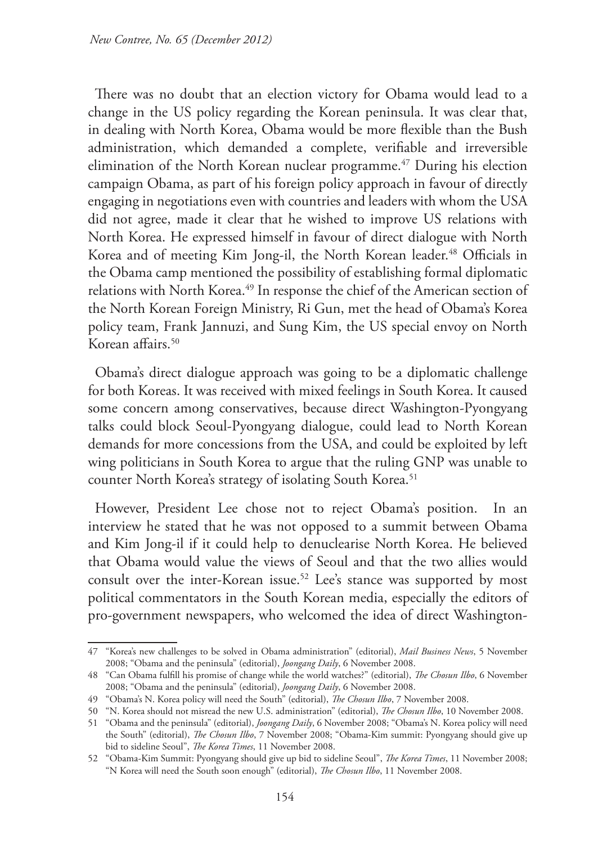There was no doubt that an election victory for Obama would lead to a change in the US policy regarding the Korean peninsula. It was clear that, in dealing with North Korea, Obama would be more flexible than the Bush administration, which demanded a complete, verifiable and irreversible elimination of the North Korean nuclear programme.<sup>47</sup> During his election campaign Obama, as part of his foreign policy approach in favour of directly engaging in negotiations even with countries and leaders with whom the USA did not agree, made it clear that he wished to improve US relations with North Korea. He expressed himself in favour of direct dialogue with North Korea and of meeting Kim Jong-il, the North Korean leader.<sup>48</sup> Officials in the Obama camp mentioned the possibility of establishing formal diplomatic relations with North Korea.<sup>49</sup> In response the chief of the American section of the North Korean Foreign Ministry, Ri Gun, met the head of Obama's Korea policy team, Frank Jannuzi, and Sung Kim, the US special envoy on North Korean affairs.<sup>50</sup>

Obama's direct dialogue approach was going to be a diplomatic challenge for both Koreas. It was received with mixed feelings in South Korea. It caused some concern among conservatives, because direct Washington-Pyongyang talks could block Seoul-Pyongyang dialogue, could lead to North Korean demands for more concessions from the USA, and could be exploited by left wing politicians in South Korea to argue that the ruling GNP was unable to counter North Korea's strategy of isolating South Korea.<sup>51</sup>

However, President Lee chose not to reject Obama's position. In an interview he stated that he was not opposed to a summit between Obama and Kim Jong-il if it could help to denuclearise North Korea. He believed that Obama would value the views of Seoul and that the two allies would consult over the inter-Korean issue.<sup>52</sup> Lee's stance was supported by most political commentators in the South Korean media, especially the editors of pro-government newspapers, who welcomed the idea of direct Washington-

<sup>47</sup> "Korea's new challenges to be solved in Obama administration" (editorial), *Mail Business News*, 5 November 2008; "Obama and the peninsula" (editorial), *Joongang Daily*, 6 November 2008.

<sup>48</sup> "Can Obama fulfill his promise of change while the world watches?" (editorial), *The Chosun Ilbo*, 6 November 2008; "Obama and the peninsula" (editorial), *Joongang Daily*, 6 November 2008.

<sup>49</sup> "Obama's N. Korea policy will need the South" (editorial), *The Chosun Ilbo*, 7 November 2008.

<sup>50</sup> "N. Korea should not misread the new U.S. administration" (editorial), *The Chosun Ilbo*, 10 November 2008.

<sup>51</sup> "Obama and the peninsula" (editorial), *Joongang Daily*, 6 November 2008; "Obama's N. Korea policy will need the South" (editorial), *The Chosun Ilbo*, 7 November 2008; "Obama-Kim summit: Pyongyang should give up bid to sideline Seoul", *The Korea Times*, 11 November 2008.

<sup>52</sup> "Obama-Kim Summit: Pyongyang should give up bid to sideline Seoul", *The Korea Times*, 11 November 2008; "N Korea will need the South soon enough" (editorial), *The Chosun Ilbo*, 11 November 2008.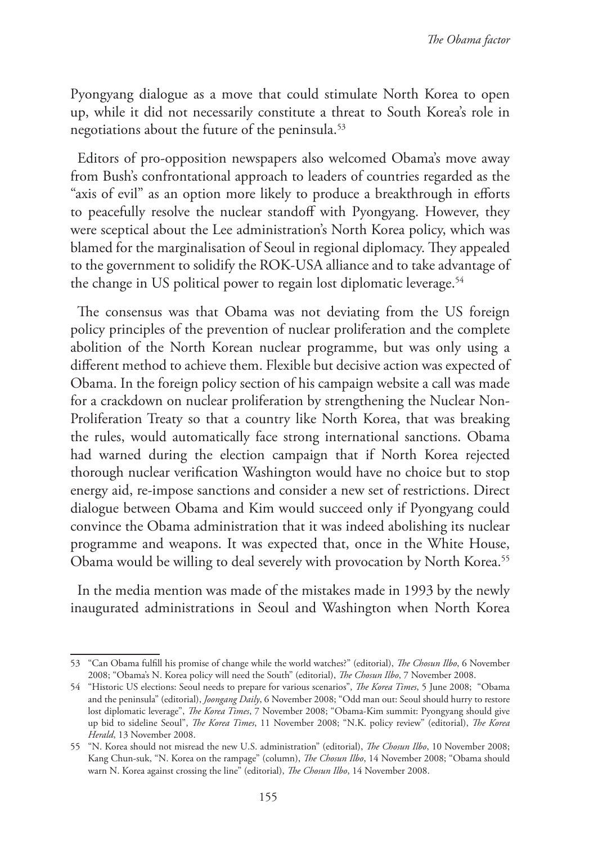Pyongyang dialogue as a move that could stimulate North Korea to open up, while it did not necessarily constitute a threat to South Korea's role in negotiations about the future of the peninsula.53

Editors of pro-opposition newspapers also welcomed Obama's move away from Bush's confrontational approach to leaders of countries regarded as the "axis of evil" as an option more likely to produce a breakthrough in efforts to peacefully resolve the nuclear standoff with Pyongyang. However, they were sceptical about the Lee administration's North Korea policy, which was blamed for the marginalisation of Seoul in regional diplomacy. They appealed to the government to solidify the ROK-USA alliance and to take advantage of the change in US political power to regain lost diplomatic leverage.<sup>54</sup>

The consensus was that Obama was not deviating from the US foreign policy principles of the prevention of nuclear proliferation and the complete abolition of the North Korean nuclear programme, but was only using a different method to achieve them. Flexible but decisive action was expected of Obama. In the foreign policy section of his campaign website a call was made for a crackdown on nuclear proliferation by strengthening the Nuclear Non-Proliferation Treaty so that a country like North Korea, that was breaking the rules, would automatically face strong international sanctions. Obama had warned during the election campaign that if North Korea rejected thorough nuclear verification Washington would have no choice but to stop energy aid, re-impose sanctions and consider a new set of restrictions. Direct dialogue between Obama and Kim would succeed only if Pyongyang could convince the Obama administration that it was indeed abolishing its nuclear programme and weapons. It was expected that, once in the White House, Obama would be willing to deal severely with provocation by North Korea.<sup>55</sup>

In the media mention was made of the mistakes made in 1993 by the newly inaugurated administrations in Seoul and Washington when North Korea

<sup>53</sup> "Can Obama fulfill his promise of change while the world watches?" (editorial), *The Chosun Ilbo*, 6 November 2008; "Obama's N. Korea policy will need the South" (editorial), *The Chosun Ilbo*, 7 November 2008.

<sup>54</sup> "Historic US elections: Seoul needs to prepare for various scenarios", *The Korea Times*, 5 June 2008; "Obama and the peninsula" (editorial), *Joongang Daily*, 6 November 2008; "Odd man out: Seoul should hurry to restore lost diplomatic leverage", *The Korea Times*, 7 November 2008; "Obama-Kim summit: Pyongyang should give up bid to sideline Seoul", *The Korea Times*, 11 November 2008; "N.K. policy review" (editorial), *The Korea Herald*, 13 November 2008.

<sup>55</sup> "N. Korea should not misread the new U.S. administration" (editorial), *The Chosun Ilbo*, 10 November 2008; Kang Chun-suk, "N. Korea on the rampage" (column), *The Chosun Ilbo*, 14 November 2008; "Obama should warn N. Korea against crossing the line" (editorial), *The Chosun Ilbo*, 14 November 2008.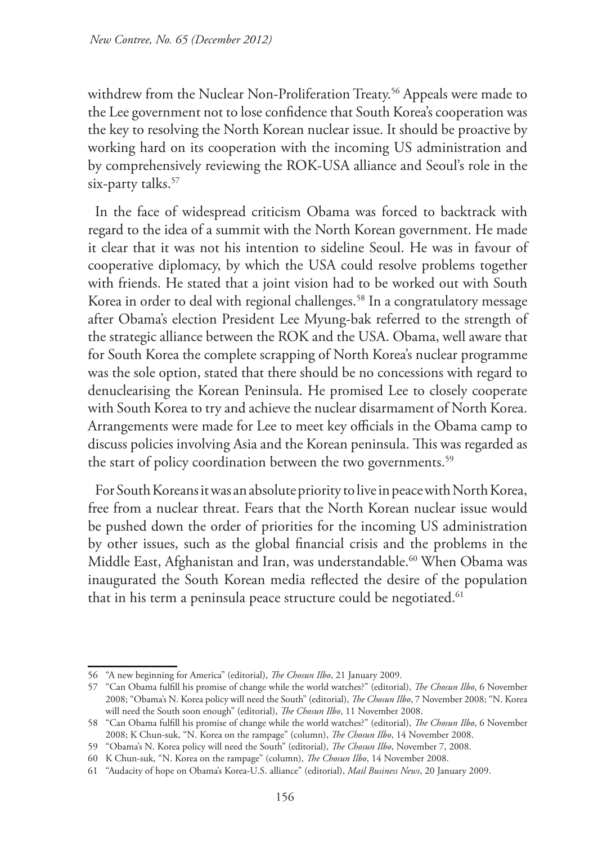withdrew from the Nuclear Non-Proliferation Treaty.<sup>56</sup> Appeals were made to the Lee government not to lose confidence that South Korea's cooperation was the key to resolving the North Korean nuclear issue. It should be proactive by working hard on its cooperation with the incoming US administration and by comprehensively reviewing the ROK-USA alliance and Seoul's role in the six-party talks.<sup>57</sup>

In the face of widespread criticism Obama was forced to backtrack with regard to the idea of a summit with the North Korean government. He made it clear that it was not his intention to sideline Seoul. He was in favour of cooperative diplomacy, by which the USA could resolve problems together with friends. He stated that a joint vision had to be worked out with South Korea in order to deal with regional challenges.<sup>58</sup> In a congratulatory message after Obama's election President Lee Myung-bak referred to the strength of the strategic alliance between the ROK and the USA. Obama, well aware that for South Korea the complete scrapping of North Korea's nuclear programme was the sole option, stated that there should be no concessions with regard to denuclearising the Korean Peninsula. He promised Lee to closely cooperate with South Korea to try and achieve the nuclear disarmament of North Korea. Arrangements were made for Lee to meet key officials in the Obama camp to discuss policies involving Asia and the Korean peninsula. This was regarded as the start of policy coordination between the two governments.<sup>59</sup>

For South Koreans it was an absolute priority to live in peace with North Korea, free from a nuclear threat. Fears that the North Korean nuclear issue would be pushed down the order of priorities for the incoming US administration by other issues, such as the global financial crisis and the problems in the Middle East, Afghanistan and Iran, was understandable.<sup>60</sup> When Obama was inaugurated the South Korean media reflected the desire of the population that in his term a peninsula peace structure could be negotiated.<sup>61</sup>

<sup>56</sup> "A new beginning for America" (editorial), *The Chosun Ilbo*, 21 January 2009.

<sup>57</sup> "Can Obama fulfill his promise of change while the world watches?" (editorial), *The Chosun Ilbo*, 6 November 2008; "Obama's N. Korea policy will need the South" (editorial), *The Chosun Ilbo*, 7 November 2008; "N. Korea will need the South soon enough" (editorial), *The Chosun Ilbo*, 11 November 2008.

<sup>58</sup> "Can Obama fulfill his promise of change while the world watches?" (editorial), *The Chosun Ilbo*, 6 November 2008; K Chun-suk, "N. Korea on the rampage" (column), *The Chosun Ilbo*, 14 November 2008.

<sup>59</sup> "Obama's N. Korea policy will need the South" (editorial), *The Chosun Ilbo*, November 7, 2008.

<sup>60</sup> K Chun-suk, "N. Korea on the rampage" (column), *The Chosun Ilbo*, 14 November 2008.

<sup>61</sup> "Audacity of hope on Obama's Korea-U.S. alliance" (editorial), *Mail Business News*, 20 January 2009.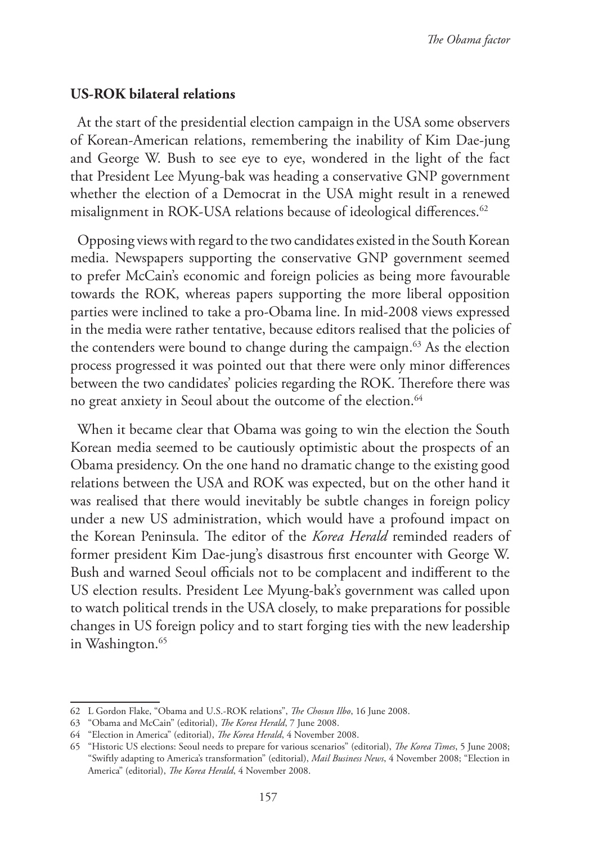#### **US-ROK bilateral relations**

At the start of the presidential election campaign in the USA some observers of Korean-American relations, remembering the inability of Kim Dae-jung and George W. Bush to see eye to eye, wondered in the light of the fact that President Lee Myung-bak was heading a conservative GNP government whether the election of a Democrat in the USA might result in a renewed misalignment in ROK-USA relations because of ideological differences.<sup>62</sup>

Opposing views with regard to the two candidates existed in the South Korean media. Newspapers supporting the conservative GNP government seemed to prefer McCain's economic and foreign policies as being more favourable towards the ROK, whereas papers supporting the more liberal opposition parties were inclined to take a pro-Obama line. In mid-2008 views expressed in the media were rather tentative, because editors realised that the policies of the contenders were bound to change during the campaign.<sup>63</sup> As the election process progressed it was pointed out that there were only minor differences between the two candidates' policies regarding the ROK. Therefore there was no great anxiety in Seoul about the outcome of the election.<sup>64</sup>

When it became clear that Obama was going to win the election the South Korean media seemed to be cautiously optimistic about the prospects of an Obama presidency. On the one hand no dramatic change to the existing good relations between the USA and ROK was expected, but on the other hand it was realised that there would inevitably be subtle changes in foreign policy under a new US administration, which would have a profound impact on the Korean Peninsula. The editor of the *Korea Herald* reminded readers of former president Kim Dae-jung's disastrous first encounter with George W. Bush and warned Seoul officials not to be complacent and indifferent to the US election results. President Lee Myung-bak's government was called upon to watch political trends in the USA closely, to make preparations for possible changes in US foreign policy and to start forging ties with the new leadership in Washington.<sup>65</sup>

<sup>62</sup> L Gordon Flake, "Obama and U.S.-ROK relations", *The Chosun Ilbo*, 16 June 2008.

<sup>63</sup> "Obama and McCain" (editorial), *The Korea Herald*, 7 June 2008.

<sup>64</sup> "Election in America" (editorial), *The Korea Herald*, 4 November 2008.

<sup>65</sup> "Historic US elections: Seoul needs to prepare for various scenarios" (editorial), *The Korea Times*, 5 June 2008; "Swiftly adapting to America's transformation" (editorial), *Mail Business News*, 4 November 2008; "Election in America" (editorial), *The Korea Herald*, 4 November 2008.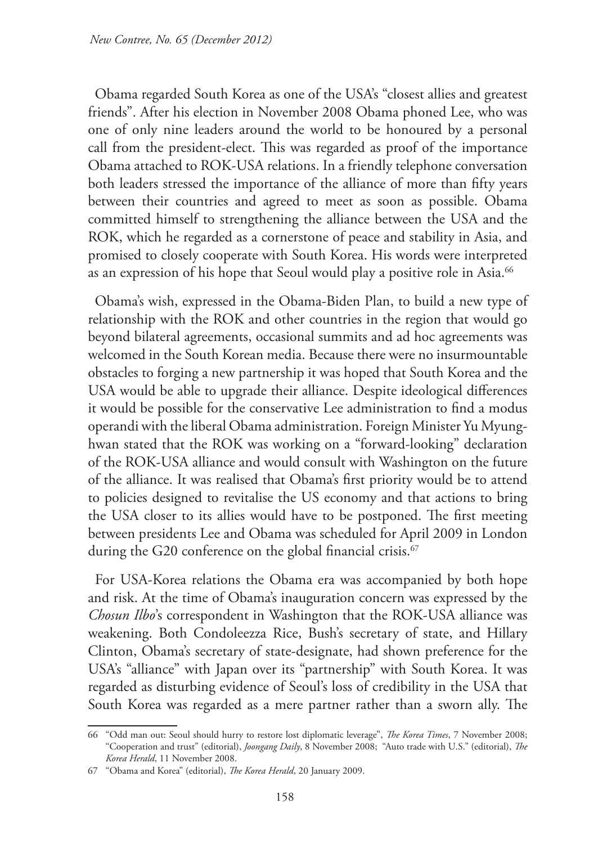Obama regarded South Korea as one of the USA's "closest allies and greatest friends". After his election in November 2008 Obama phoned Lee, who was one of only nine leaders around the world to be honoured by a personal call from the president-elect. This was regarded as proof of the importance Obama attached to ROK-USA relations. In a friendly telephone conversation both leaders stressed the importance of the alliance of more than fifty years between their countries and agreed to meet as soon as possible. Obama committed himself to strengthening the alliance between the USA and the ROK, which he regarded as a cornerstone of peace and stability in Asia, and promised to closely cooperate with South Korea. His words were interpreted as an expression of his hope that Seoul would play a positive role in Asia.<sup>66</sup>

Obama's wish, expressed in the Obama-Biden Plan, to build a new type of relationship with the ROK and other countries in the region that would go beyond bilateral agreements, occasional summits and ad hoc agreements was welcomed in the South Korean media. Because there were no insurmountable obstacles to forging a new partnership it was hoped that South Korea and the USA would be able to upgrade their alliance. Despite ideological differences it would be possible for the conservative Lee administration to find a modus operandi with the liberal Obama administration. Foreign Minister Yu Myunghwan stated that the ROK was working on a "forward-looking" declaration of the ROK-USA alliance and would consult with Washington on the future of the alliance. It was realised that Obama's first priority would be to attend to policies designed to revitalise the US economy and that actions to bring the USA closer to its allies would have to be postponed. The first meeting between presidents Lee and Obama was scheduled for April 2009 in London during the G20 conference on the global financial crisis.<sup>67</sup>

For USA-Korea relations the Obama era was accompanied by both hope and risk. At the time of Obama's inauguration concern was expressed by the *Chosun Ilbo*'s correspondent in Washington that the ROK-USA alliance was weakening. Both Condoleezza Rice, Bush's secretary of state, and Hillary Clinton, Obama's secretary of state-designate, had shown preference for the USA's "alliance" with Japan over its "partnership" with South Korea. It was regarded as disturbing evidence of Seoul's loss of credibility in the USA that South Korea was regarded as a mere partner rather than a sworn ally. The

<sup>66</sup> "Odd man out: Seoul should hurry to restore lost diplomatic leverage", *The Korea Times*, 7 November 2008; "Cooperation and trust" (editorial), *Joongang Daily*, 8 November 2008; "Auto trade with U.S." (editorial), *The Korea Herald*, 11 November 2008.

<sup>67</sup> "Obama and Korea" (editorial), *The Korea Herald*, 20 January 2009.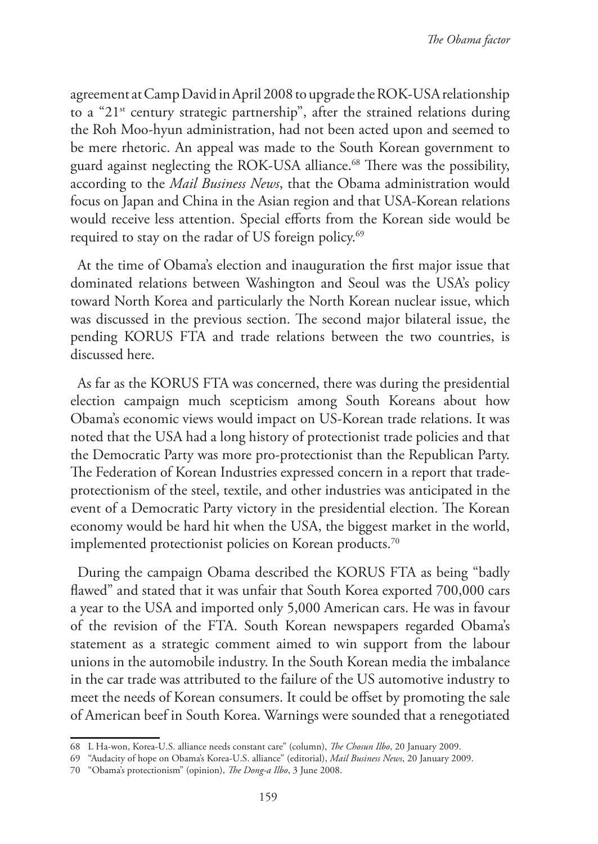agreement at Camp David in April 2008 to upgrade the ROK-USA relationship to a "21st century strategic partnership", after the strained relations during the Roh Moo-hyun administration, had not been acted upon and seemed to be mere rhetoric. An appeal was made to the South Korean government to guard against neglecting the ROK-USA alliance.<sup>68</sup> There was the possibility, according to the *Mail Business News*, that the Obama administration would focus on Japan and China in the Asian region and that USA-Korean relations would receive less attention. Special efforts from the Korean side would be required to stay on the radar of US foreign policy.<sup>69</sup>

At the time of Obama's election and inauguration the first major issue that dominated relations between Washington and Seoul was the USA's policy toward North Korea and particularly the North Korean nuclear issue, which was discussed in the previous section. The second major bilateral issue, the pending KORUS FTA and trade relations between the two countries, is discussed here.

As far as the KORUS FTA was concerned, there was during the presidential election campaign much scepticism among South Koreans about how Obama's economic views would impact on US-Korean trade relations. It was noted that the USA had a long history of protectionist trade policies and that the Democratic Party was more pro-protectionist than the Republican Party. The Federation of Korean Industries expressed concern in a report that tradeprotectionism of the steel, textile, and other industries was anticipated in the event of a Democratic Party victory in the presidential election. The Korean economy would be hard hit when the USA, the biggest market in the world, implemented protectionist policies on Korean products.<sup>70</sup>

During the campaign Obama described the KORUS FTA as being "badly flawed" and stated that it was unfair that South Korea exported 700,000 cars a year to the USA and imported only 5,000 American cars. He was in favour of the revision of the FTA. South Korean newspapers regarded Obama's statement as a strategic comment aimed to win support from the labour unions in the automobile industry. In the South Korean media the imbalance in the car trade was attributed to the failure of the US automotive industry to meet the needs of Korean consumers. It could be offset by promoting the sale of American beef in South Korea. Warnings were sounded that a renegotiated

<sup>68</sup> L Ha-won, Korea-U.S. alliance needs constant care" (column), *The Chosun Ilbo*, 20 January 2009.

<sup>69</sup> "Audacity of hope on Obama's Korea-U.S. alliance" (editorial), *Mail Business News*, 20 January 2009.

<sup>70</sup> "Obama's protectionism" (opinion), *The Dong-a Ilbo*, 3 June 2008.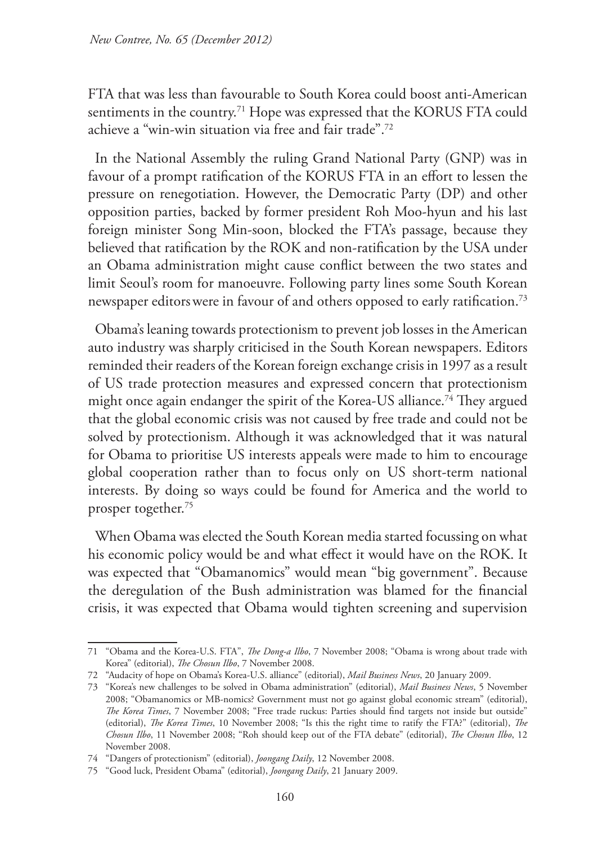FTA that was less than favourable to South Korea could boost anti-American sentiments in the country.<sup>71</sup> Hope was expressed that the KORUS FTA could achieve a "win-win situation via free and fair trade".72

In the National Assembly the ruling Grand National Party (GNP) was in favour of a prompt ratification of the KORUS FTA in an effort to lessen the pressure on renegotiation. However, the Democratic Party (DP) and other opposition parties, backed by former president Roh Moo-hyun and his last foreign minister Song Min-soon, blocked the FTA's passage, because they believed that ratification by the ROK and non-ratification by the USA under an Obama administration might cause conflict between the two states and limit Seoul's room for manoeuvre. Following party lines some South Korean newspaper editors were in favour of and others opposed to early ratification.<sup>73</sup>

Obama's leaning towards protectionism to prevent job losses in the American auto industry was sharply criticised in the South Korean newspapers. Editors reminded their readers of the Korean foreign exchange crisis in 1997 as a result of US trade protection measures and expressed concern that protectionism might once again endanger the spirit of the Korea-US alliance.<sup>74</sup> They argued that the global economic crisis was not caused by free trade and could not be solved by protectionism. Although it was acknowledged that it was natural for Obama to prioritise US interests appeals were made to him to encourage global cooperation rather than to focus only on US short-term national interests. By doing so ways could be found for America and the world to prosper together.75

When Obama was elected the South Korean media started focussing on what his economic policy would be and what effect it would have on the ROK. It was expected that "Obamanomics" would mean "big government". Because the deregulation of the Bush administration was blamed for the financial crisis, it was expected that Obama would tighten screening and supervision

<sup>71</sup> "Obama and the Korea-U.S. FTA", *The Dong-a Ilbo*, 7 November 2008; "Obama is wrong about trade with Korea" (editorial), *The Chosun Ilbo*, 7 November 2008.

<sup>72</sup> "Audacity of hope on Obama's Korea-U.S. alliance" (editorial), *Mail Business News*, 20 January 2009.

<sup>73</sup> "Korea's new challenges to be solved in Obama administration" (editorial), *Mail Business News*, 5 November 2008; "Obamanomics or MB-nomics? Government must not go against global economic stream" (editorial), *The Korea Times*, 7 November 2008; "Free trade ruckus: Parties should find targets not inside but outside" (editorial), *The Korea Times*, 10 November 2008; "Is this the right time to ratify the FTA?" (editorial), *The Chosun Ilbo*, 11 November 2008; "Roh should keep out of the FTA debate" (editorial), *The Chosun Ilbo*, 12 November 2008.

<sup>74</sup> "Dangers of protectionism" (editorial), *Joongang Daily*, 12 November 2008.

<sup>75</sup> "Good luck, President Obama" (editorial), *Joongang Daily*, 21 January 2009.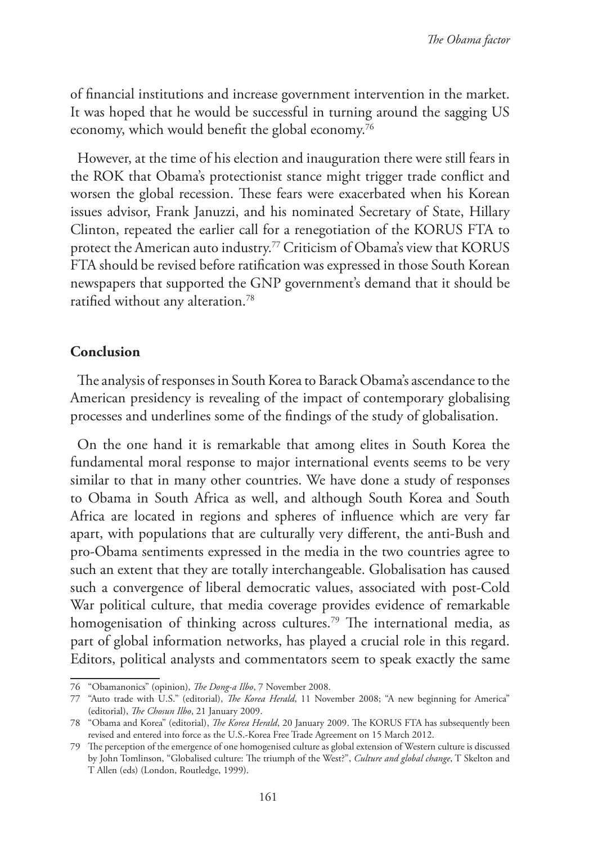of financial institutions and increase government intervention in the market. It was hoped that he would be successful in turning around the sagging US economy, which would benefit the global economy.76

However, at the time of his election and inauguration there were still fears in the ROK that Obama's protectionist stance might trigger trade conflict and worsen the global recession. These fears were exacerbated when his Korean issues advisor, Frank Januzzi, and his nominated Secretary of State, Hillary Clinton, repeated the earlier call for a renegotiation of the KORUS FTA to protect the American auto industry.77 Criticism of Obama's view that KORUS FTA should be revised before ratification was expressed in those South Korean newspapers that supported the GNP government's demand that it should be ratified without any alteration.78

### **Conclusion**

The analysis of responses in South Korea to Barack Obama's ascendance to the American presidency is revealing of the impact of contemporary globalising processes and underlines some of the findings of the study of globalisation.

On the one hand it is remarkable that among elites in South Korea the fundamental moral response to major international events seems to be very similar to that in many other countries. We have done a study of responses to Obama in South Africa as well, and although South Korea and South Africa are located in regions and spheres of influence which are very far apart, with populations that are culturally very different, the anti-Bush and pro-Obama sentiments expressed in the media in the two countries agree to such an extent that they are totally interchangeable. Globalisation has caused such a convergence of liberal democratic values, associated with post-Cold War political culture, that media coverage provides evidence of remarkable homogenisation of thinking across cultures.<sup>79</sup> The international media, as part of global information networks, has played a crucial role in this regard. Editors, political analysts and commentators seem to speak exactly the same

<sup>76</sup> "Obamanonics" (opinion), *The Dong-a Ilbo*, 7 November 2008.

<sup>77</sup> "Auto trade with U.S." (editorial), *The Korea Herald*, 11 November 2008; "A new beginning for America" (editorial), *The Chosun Ilbo*, 21 January 2009.

<sup>78</sup> "Obama and Korea" (editorial), *The Korea Herald*, 20 January 2009. The KORUS FTA has subsequently been revised and entered into force as the U.S.-Korea Free Trade Agreement on 15 March 2012.

<sup>79</sup> The perception of the emergence of one homogenised culture as global extension of Western culture is discussed by John Tomlinson, "Globalised culture: The triumph of the West?", *Culture and global change*, T Skelton and T Allen (eds) (London, Routledge, 1999).